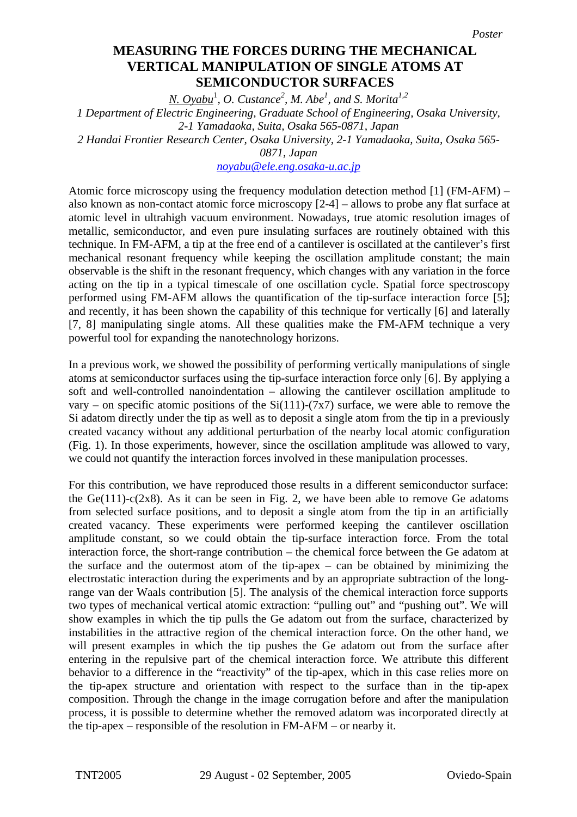## **MEASURING THE FORCES DURING THE MECHANICAL manufation of single property in the mechanical VERTICAL MANIPULATION OF SINGLE ATOMS AT SEMICONDUCTOR SURFACES**

*N. Oyabu*<sup>1</sup> *, O. Custance<sup>2</sup> , M. Abe<sup>1</sup> , and S. Morita1,2 1 Department of Electric Engineering, Graduate School of Engineering, Osaka University, 2-1 Yamadaoka, Suita, Osaka 565-0871, Japan 2 Handai Frontier Research Center, Osaka University, 2-1 Yamadaoka, Suita, Osaka 565- 0871, Japan noyabu@ele.eng.osaka-u.ac.jp*

Atomic force microscopy using the frequency modulation detection method [1] (FM-AFM) – also known as non-contact atomic force microscopy [2-4] – allows to probe any flat surface at atomic level in ultrahigh vacuum environment. Nowadays, true atomic resolution images of metallic, semiconductor, and even pure insulating surfaces are routinely obtained with this technique. In FM-AFM, a tip at the free end of a cantilever is oscillated at the cantilever's first mechanical resonant frequency while keeping the oscillation amplitude constant; the main observable is the shift in the resonant frequency, which changes with any variation in the force acting on the tip in a typical timescale of one oscillation cycle. Spatial force spectroscopy performed using FM-AFM allows the quantification of the tip-surface interaction force [5]; and recently, it has been shown the capability of this technique for vertically [6] and laterally [7, 8] manipulating single atoms. All these qualities make the FM-AFM technique a very powerful tool for expanding the nanotechnology horizons.

In a previous work, we showed the possibility of performing vertically manipulations of single atoms at semiconductor surfaces using the tip-surface interaction force only [6]. By applying a soft and well-controlled nanoindentation – allowing the cantilever oscillation amplitude to vary – on specific atomic positions of the  $Si(111)-(7x7)$  surface, we were able to remove the Si adatom directly under the tip as well as to deposit a single atom from the tip in a previously created vacancy without any additional perturbation of the nearby local atomic configuration (Fig. 1). In those experiments, however, since the oscillation amplitude was allowed to vary, we could not quantify the interaction forces involved in these manipulation processes.

For this contribution, we have reproduced those results in a different semiconductor surface: the  $Ge(111)-c(2x8)$ . As it can be seen in Fig. 2, we have been able to remove Ge adatoms from selected surface positions, and to deposit a single atom from the tip in an artificially created vacancy. These experiments were performed keeping the cantilever oscillation amplitude constant, so we could obtain the tip-surface interaction force. From the total interaction force, the short-range contribution – the chemical force between the Ge adatom at the surface and the outermost atom of the tip-apex – can be obtained by minimizing the electrostatic interaction during the experiments and by an appropriate subtraction of the longrange van der Waals contribution [5]. The analysis of the chemical interaction force supports two types of mechanical vertical atomic extraction: "pulling out" and "pushing out". We will show examples in which the tip pulls the Ge adatom out from the surface, characterized by instabilities in the attractive region of the chemical interaction force. On the other hand, we will present examples in which the tip pushes the Ge adatom out from the surface after entering in the repulsive part of the chemical interaction force. We attribute this different behavior to a difference in the "reactivity" of the tip-apex, which in this case relies more on the tip-apex structure and orientation with respect to the surface than in the tip-apex composition. Through the change in the image corrugation before and after the manipulation process, it is possible to determine whether the removed adatom was incorporated directly at the tip-apex – responsible of the resolution in FM-AFM – or nearby it.